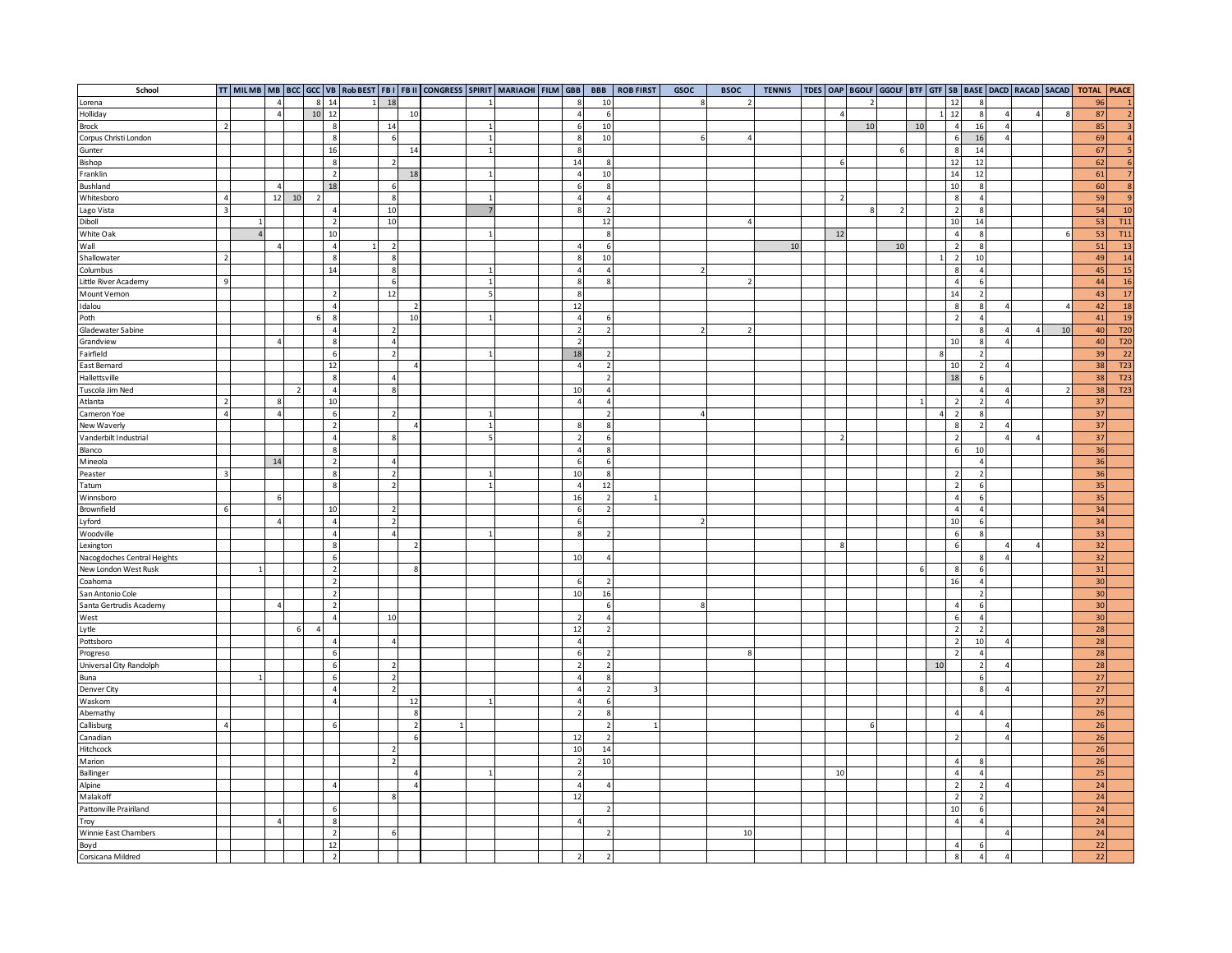| School                          |                          |              |                |                          |                |                         |                          |                | TT MILMB MB BCC GCC VB ROD BEST FBI FBII CONGRESS SPIRIT MARIACHI FILM GBB |                     |  |                          | <b>BBB</b>                       | <b>ROB FIRST</b> | GSOC | <b>BSOC</b>    | <b>TENNIS</b> |                |    |               |    |                 |                  |                          |                          |    | TDES OAP BGOLF GGOLF BTF GTF SB BASE DACD RACAD SACAD TOTAL PLACE |                  |
|---------------------------------|--------------------------|--------------|----------------|--------------------------|----------------|-------------------------|--------------------------|----------------|----------------------------------------------------------------------------|---------------------|--|--------------------------|----------------------------------|------------------|------|----------------|---------------|----------------|----|---------------|----|-----------------|------------------|--------------------------|--------------------------|----|-------------------------------------------------------------------|------------------|
| Lorena                          |                          |              | $\overline{a}$ |                          | 8 <sup>1</sup> | 14                      | 18                       |                |                                                                            |                     |  | $\mathbf{R}$             | 10                               |                  |      |                |               |                |    |               |    |                 | $12\,$           |                          |                          |    | 96                                                                |                  |
| Holliday                        |                          |              | $\overline{4}$ |                          | 10 12          |                         |                          | 10             |                                                                            |                     |  | 4                        | 6                                |                  |      |                |               |                |    |               |    | $1\overline{ }$ | 12               |                          | $\overline{4}$           |    | 87                                                                | $\overline{2}$   |
| Brock                           | $\overline{\phantom{a}}$ |              |                |                          |                | 8                       | 14                       |                |                                                                            |                     |  | 6                        | 10                               |                  |      |                |               |                | 10 |               | 10 |                 | $\overline{4}$   | 16                       | $\Delta$                 |    | 85                                                                | 3                |
| Corpus Christi London           |                          |              |                |                          |                | $\overline{\mathbf{8}}$ |                          |                |                                                                            |                     |  | 8                        | 10                               |                  |      |                |               |                |    |               |    |                 | 6                | 16                       | $\overline{4}$           |    | 69                                                                | $\overline{4}$   |
| Gunter                          |                          |              |                |                          |                | 16                      |                          | 14             |                                                                            |                     |  | 8                        |                                  |                  |      |                |               |                |    | 6             |    |                 | 8                | 14                       |                          |    | 67                                                                |                  |
| Bishop                          |                          |              |                |                          |                | 8                       | $\overline{\phantom{a}}$ |                |                                                                            |                     |  | 14                       | 8                                |                  |      |                |               | 6              |    |               |    |                 | 12               | 12                       |                          |    | 62                                                                | 6                |
| Franklin                        |                          |              |                |                          |                | $\overline{2}$          |                          | 18             |                                                                            | $\overline{1}$      |  | $\overline{4}$           | 10                               |                  |      |                |               |                |    |               |    |                 | 14               | 12                       |                          |    | 61                                                                | $\overline{7}$   |
| Bushland                        |                          |              | $\overline{4}$ |                          |                | 18                      | -6                       |                |                                                                            |                     |  | 6                        | 8                                |                  |      |                |               |                |    |               |    |                 | 10               |                          |                          |    | 60                                                                | $\overline{8}$   |
| Whitesboro                      | $\Delta$                 |              | 12             | 10                       | $\overline{z}$ |                         | $\mathbf{R}$             |                |                                                                            | $\overline{1}$      |  | $\Delta$                 | $\sqrt{4}$                       |                  |      |                |               | $\overline{z}$ |    |               |    |                 | $\boldsymbol{8}$ |                          |                          |    | 59                                                                | 9                |
| Lago Vista                      | $\overline{3}$           |              |                |                          |                | $\overline{4}$          | 10                       |                |                                                                            |                     |  | 8                        | $\overline{2}$                   |                  |      |                |               |                |    | $\mathcal{L}$ |    |                 | $\overline{2}$   | $\mathbf{Q}$             |                          |    | 54                                                                | <b>10</b>        |
| Diboll                          |                          |              |                |                          |                | $\overline{2}$          | 10                       |                |                                                                            |                     |  |                          | $12\,$                           |                  |      | $\overline{A}$ |               |                |    |               |    |                 | $10\,$           | 14                       |                          |    | 53                                                                | <b>T11</b>       |
| White Oak                       |                          |              |                |                          |                | 10                      |                          |                |                                                                            |                     |  |                          | $\boldsymbol{8}$                 |                  |      |                |               | 12             |    |               |    |                 | $\overline{4}$   |                          |                          |    | 53                                                                | <b>T11</b>       |
| Wall                            |                          |              | 4              |                          |                | $\overline{4}$          | $\overline{2}$           |                |                                                                            |                     |  | $\overline{4}$           | 6                                |                  |      |                | 10            |                |    | $10\,$        |    |                 | $\overline{2}$   | 8                        |                          |    | 51                                                                | <b>13</b>        |
| Shallowater                     | $\overline{2}$           |              |                |                          |                | 8                       | 8                        |                |                                                                            |                     |  | œ.                       | 10                               |                  |      |                |               |                |    |               |    |                 | $\overline{2}$   | 10                       |                          |    | 49                                                                | <b>14</b>        |
| Columbus                        |                          |              |                |                          |                | 14                      | 8                        |                |                                                                            |                     |  | $\overline{4}$           | $\overline{4}$                   |                  |      |                |               |                |    |               |    |                 | 8                |                          |                          |    | 45                                                                | 15               |
| Little River Academy            | $\mathbf{q}$             |              |                |                          |                |                         | 6                        |                |                                                                            |                     |  | 8                        | 8                                |                  |      |                |               |                |    |               |    |                 | $\sqrt{4}$       |                          |                          |    | 44                                                                | <b>16</b>        |
| Mount Vernon                    |                          |              |                |                          |                | $\overline{z}$          | 12                       |                |                                                                            |                     |  | 8                        |                                  |                  |      |                |               |                |    |               |    |                 | 14               |                          |                          |    | 43                                                                | 17               |
| Idalou                          |                          |              |                |                          |                | $\overline{4}$          |                          |                |                                                                            |                     |  | 12                       |                                  |                  |      |                |               |                |    |               |    |                 | 8                |                          |                          |    | 42                                                                | <b>18</b>        |
| Poth                            |                          |              |                |                          | 6              | $\mathbf{8}$            |                          | 10             |                                                                            |                     |  | 4 <sup>1</sup>           | 6                                |                  |      |                |               |                |    |               |    |                 | $\overline{2}$   |                          |                          |    | 41                                                                | 19               |
| Gladewater Sabine               |                          |              |                |                          |                | $\overline{4}$          | $\overline{2}$           |                |                                                                            |                     |  | $\overline{2}$           | $\overline{2}$                   |                  |      | $\overline{z}$ |               |                |    |               |    |                 |                  |                          | $\Delta$                 | 10 | 40                                                                | T <sub>20</sub>  |
| Grandview                       |                          |              | $\overline{A}$ |                          |                | $\overline{\mathbf{8}}$ | $\overline{4}$           |                |                                                                            |                     |  | $\overline{\phantom{a}}$ |                                  |                  |      |                |               |                |    |               |    |                 | 10               |                          | $\overline{\phantom{a}}$ |    | 40                                                                | T20              |
| Fairfield                       |                          |              |                |                          |                | $\,$ 6                  | $\overline{2}$           |                |                                                                            |                     |  | 18                       | $\overline{2}$                   |                  |      |                |               |                |    |               |    |                 |                  |                          |                          |    | 39                                                                | $\overline{22}$  |
| East Bernard                    |                          |              |                |                          |                | 12                      |                          |                |                                                                            |                     |  | $\overline{4}$           | $\overline{2}$                   |                  |      |                |               |                |    |               |    |                 | 10               |                          |                          |    | 38                                                                | T23              |
| Hallettsville                   |                          |              |                |                          |                | $\overline{\mathbf{8}}$ | $\Delta$                 |                |                                                                            |                     |  |                          | $\overline{z}$                   |                  |      |                |               |                |    |               |    |                 | 18               |                          |                          |    | 38                                                                | T23              |
| Tuscola Jim Ned                 |                          |              |                | $\overline{\phantom{a}}$ |                | $\overline{4}$          |                          |                |                                                                            |                     |  | 10                       | $\overline{4}$                   |                  |      |                |               |                |    |               |    |                 |                  |                          |                          |    | 38                                                                | $\overline{123}$ |
| Atlanta                         | $\overline{z}$           |              | 8              |                          |                | 10                      |                          |                |                                                                            |                     |  | $\overline{4}$           |                                  |                  |      |                |               |                |    |               |    |                 | $\overline{2}$   |                          | $\prime$                 |    |                                                                   |                  |
|                                 | $\overline{4}$           |              | $\overline{4}$ |                          |                | 6                       | $\overline{2}$           |                |                                                                            |                     |  |                          | $\overline{4}$<br>$\overline{2}$ |                  |      |                |               |                |    |               |    |                 | $\overline{2}$   |                          |                          |    | 37<br>37                                                          |                  |
| Cameron Yoe                     |                          |              |                |                          |                | $\overline{2}$          |                          |                |                                                                            |                     |  | 8                        | $\boldsymbol{8}$                 |                  |      |                |               |                |    |               |    |                 | $\boldsymbol{8}$ |                          |                          |    | 37                                                                |                  |
| New Waverly                     |                          |              |                |                          |                | $\overline{4}$          | R                        |                |                                                                            | $\overline{1}$<br>5 |  |                          |                                  |                  |      |                |               |                |    |               |    |                 |                  |                          | $\Delta$                 |    |                                                                   |                  |
| Vanderbilt Industrial           |                          |              |                |                          |                |                         |                          |                |                                                                            |                     |  | $\overline{2}$           | $\,$ 6                           |                  |      |                |               |                |    |               |    |                 | $\overline{2}$   |                          |                          |    | $37\,$<br>36                                                      |                  |
| Blanco                          |                          |              |                |                          |                | 8                       | $\Delta$                 |                |                                                                            |                     |  | $\overline{4}$           | $\boldsymbol{8}$                 |                  |      |                |               |                |    |               |    |                 | 6                | 10                       |                          |    |                                                                   |                  |
| Mineola                         |                          |              | 14             |                          |                | $\overline{2}$          |                          |                |                                                                            |                     |  | 6                        | 6                                |                  |      |                |               |                |    |               |    |                 |                  |                          |                          |    | 36                                                                |                  |
| Peaster                         | $\overline{3}$           |              |                |                          |                | 8                       | $\overline{\phantom{a}}$ |                |                                                                            |                     |  | 10                       | $\boldsymbol{8}$                 |                  |      |                |               |                |    |               |    |                 | $\overline{2}$   |                          |                          |    | 36                                                                |                  |
| Tatum                           |                          |              |                |                          |                | 8                       | $\overline{2}$           |                |                                                                            |                     |  | $\overline{a}$           | 12                               |                  |      |                |               |                |    |               |    |                 | $\overline{2}$   |                          |                          |    | 35                                                                |                  |
| Winnsboro                       |                          |              | 6              |                          |                |                         |                          |                |                                                                            |                     |  | 16                       | $\overline{z}$                   |                  |      |                |               |                |    |               |    |                 | $\overline{4}$   |                          |                          |    | 35                                                                |                  |
| Brownfield                      | $6\overline{6}$          |              |                |                          |                | 10                      | $\overline{2}$           |                |                                                                            |                     |  | 6                        | $\overline{2}$                   |                  |      |                |               |                |    |               |    |                 | $\sqrt{4}$       |                          |                          |    | 34                                                                |                  |
| Lyford                          |                          |              | 4              |                          |                | $\overline{4}$          | $\overline{2}$           |                |                                                                            |                     |  | 6                        |                                  |                  |      |                |               |                |    |               |    |                 | 10               |                          |                          |    | 34                                                                |                  |
| Woodville                       |                          |              |                |                          |                | $\overline{4}$          | $\overline{a}$           |                |                                                                            |                     |  | $\mathbf{g}$             | $\overline{z}$                   |                  |      |                |               |                |    |               |    |                 | 6                |                          |                          |    | 33                                                                |                  |
| Lexington                       |                          |              |                |                          |                | 8                       |                          |                |                                                                            |                     |  |                          |                                  |                  |      |                |               | $\mathbf{R}$   |    |               |    |                 | 6                |                          | $\overline{\mathbf{r}}$  |    | 32                                                                |                  |
| Nacogdoches Central Heights     |                          |              |                |                          |                | $\,$ 6                  |                          |                |                                                                            |                     |  | 10                       | $\overline{4}$                   |                  |      |                |               |                |    |               |    |                 |                  |                          | $\Lambda$                |    | 32                                                                |                  |
| New London West Rusk<br>Coahoma |                          | $\mathbf{1}$ |                |                          |                | $\overline{2}$          |                          | $\mathbf{R}$   |                                                                            |                     |  |                          |                                  |                  |      |                |               |                |    |               | 6  |                 | $\mathbf{g}$     |                          |                          |    | 31                                                                |                  |
|                                 |                          |              |                |                          |                | $\overline{2}$          |                          |                |                                                                            |                     |  | 6                        | $\overline{2}$                   |                  |      |                |               |                |    |               |    |                 | 16               |                          |                          |    | 30                                                                |                  |
| San Antonio Cole                |                          |              |                |                          |                | $\overline{2}$          |                          |                |                                                                            |                     |  | 10                       | 16                               |                  |      |                |               |                |    |               |    |                 |                  |                          |                          |    | 30                                                                |                  |
| Santa Gertrudis Academy         |                          |              | 4              |                          |                | $\overline{2}$          |                          |                |                                                                            |                     |  |                          | 6 <sup>1</sup>                   |                  |      |                |               |                |    |               |    |                 | $\overline{4}$   |                          |                          |    | 30                                                                |                  |
| West                            |                          |              |                |                          |                | $\overline{4}$          | 10                       |                |                                                                            |                     |  | $\overline{z}$           | $\overline{4}$                   |                  |      |                |               |                |    |               |    |                 | 6                |                          |                          |    | 30 <sub>o</sub>                                                   |                  |
| Lytle                           |                          |              |                | 6                        | 4              |                         |                          |                |                                                                            |                     |  | 12                       | $\overline{2}$                   |                  |      |                |               |                |    |               |    |                 | $\overline{2}$   |                          |                          |    | 28                                                                |                  |
| Pottsboro                       |                          |              |                |                          |                | $\overline{4}$          | $\overline{4}$           |                |                                                                            |                     |  | $\overline{4}$           |                                  |                  |      |                |               |                |    |               |    |                 | $\overline{2}$   | 10                       |                          |    | 28                                                                |                  |
| Progreso                        |                          |              |                |                          |                | 6                       |                          |                |                                                                            |                     |  | 6                        | $\overline{z}$                   |                  |      | $\mathbf{R}$   |               |                |    |               |    |                 |                  |                          |                          |    | 28                                                                |                  |
| Universal City Randolph         |                          |              |                |                          |                | 6                       | $\overline{2}$           |                |                                                                            |                     |  | $\overline{2}$           | $\overline{2}$                   |                  |      |                |               |                |    |               |    | 10              |                  |                          |                          |    | 28                                                                |                  |
| Buna                            |                          |              |                |                          |                | 6                       | $\overline{\phantom{a}}$ |                |                                                                            |                     |  | $\overline{4}$           | 8                                |                  |      |                |               |                |    |               |    |                 |                  |                          |                          |    | 27                                                                |                  |
| Denver City                     |                          |              |                |                          |                | $\overline{4}$          | $\overline{2}$           |                |                                                                            |                     |  | $\overline{4}$           | $\overline{2}$                   |                  |      |                |               |                |    |               |    |                 |                  |                          |                          |    | 27                                                                |                  |
| Waskom                          |                          |              |                |                          |                | $\overline{a}$          |                          | 12             |                                                                            |                     |  | $\overline{4}$           | $6 \overline{6}$                 |                  |      |                |               |                |    |               |    |                 |                  |                          |                          |    | 27                                                                |                  |
| Abernathy                       |                          |              |                |                          |                |                         |                          | 8              |                                                                            |                     |  | $\overline{2}$           | $\bf8$                           |                  |      |                |               |                |    |               |    |                 | $\overline{4}$   |                          |                          |    | 26                                                                |                  |
| Callisburg                      | $\overline{4}$           |              |                |                          |                | 6                       |                          | $\overline{2}$ |                                                                            |                     |  |                          | $\overline{2}$                   |                  |      |                |               |                |    |               |    |                 |                  |                          | 4                        |    | 26                                                                |                  |
| Canadian                        |                          |              |                |                          |                |                         |                          |                |                                                                            |                     |  | 12                       | $\overline{2}$                   |                  |      |                |               |                |    |               |    |                 | $\overline{2}$   |                          |                          |    | 26                                                                |                  |
| Hitchcock                       |                          |              |                |                          |                |                         |                          |                |                                                                            |                     |  | 10                       | $14\,$                           |                  |      |                |               |                |    |               |    |                 |                  |                          |                          |    | 26                                                                |                  |
| Marion                          |                          |              |                |                          |                |                         | $\overline{z}$           |                |                                                                            |                     |  | $\overline{2}$           | 10                               |                  |      |                |               |                |    |               |    |                 | $\overline{4}$   |                          |                          |    | 26                                                                |                  |
| Ballinger                       |                          |              |                |                          |                |                         |                          | $\overline{A}$ |                                                                            |                     |  | $\overline{2}$           |                                  |                  |      |                |               | 10             |    |               |    |                 | $\overline{4}$   |                          |                          |    | 25                                                                |                  |
| Alpine<br>Malakoff              |                          |              |                |                          |                | $\overline{a}$          |                          |                |                                                                            |                     |  | $\overline{4}$           | $\overline{4}$                   |                  |      |                |               |                |    |               |    |                 | $\overline{2}$   | $\overline{\phantom{a}}$ | $\epsilon$               |    | 24                                                                |                  |
|                                 |                          |              |                |                          |                |                         | -8                       |                |                                                                            |                     |  | 12                       |                                  |                  |      |                |               |                |    |               |    |                 | $\overline{2}$   |                          |                          |    | 24                                                                |                  |
| Pattonville Prairiland          |                          |              |                |                          |                | 6                       |                          |                |                                                                            |                     |  |                          | $\overline{2}$                   |                  |      |                |               |                |    |               |    |                 | 10               |                          |                          |    | 24                                                                |                  |
| Troy                            |                          |              | 4              |                          |                | 8                       |                          |                |                                                                            |                     |  | $\overline{4}$           |                                  |                  |      |                |               |                |    |               |    |                 | $\overline{4}$   |                          |                          |    | 24                                                                |                  |
| Winnie East Chambers            |                          |              |                |                          |                | $\overline{2}$          |                          |                |                                                                            |                     |  |                          |                                  |                  |      | 10             |               |                |    |               |    |                 |                  |                          |                          |    | 24                                                                |                  |
|                                 |                          |              |                |                          |                | 12                      |                          |                |                                                                            |                     |  |                          |                                  |                  |      |                |               |                |    |               |    |                 | $\sqrt{4}$       |                          |                          |    | 22                                                                |                  |
| Boyd<br>Corsicana Mildred       |                          |              |                |                          |                | $\overline{2}$          |                          |                |                                                                            |                     |  | $\overline{2}$           | $\overline{2}$                   |                  |      |                |               |                |    |               |    |                 | 8                | 4                        | $\Delta$                 |    | 22                                                                |                  |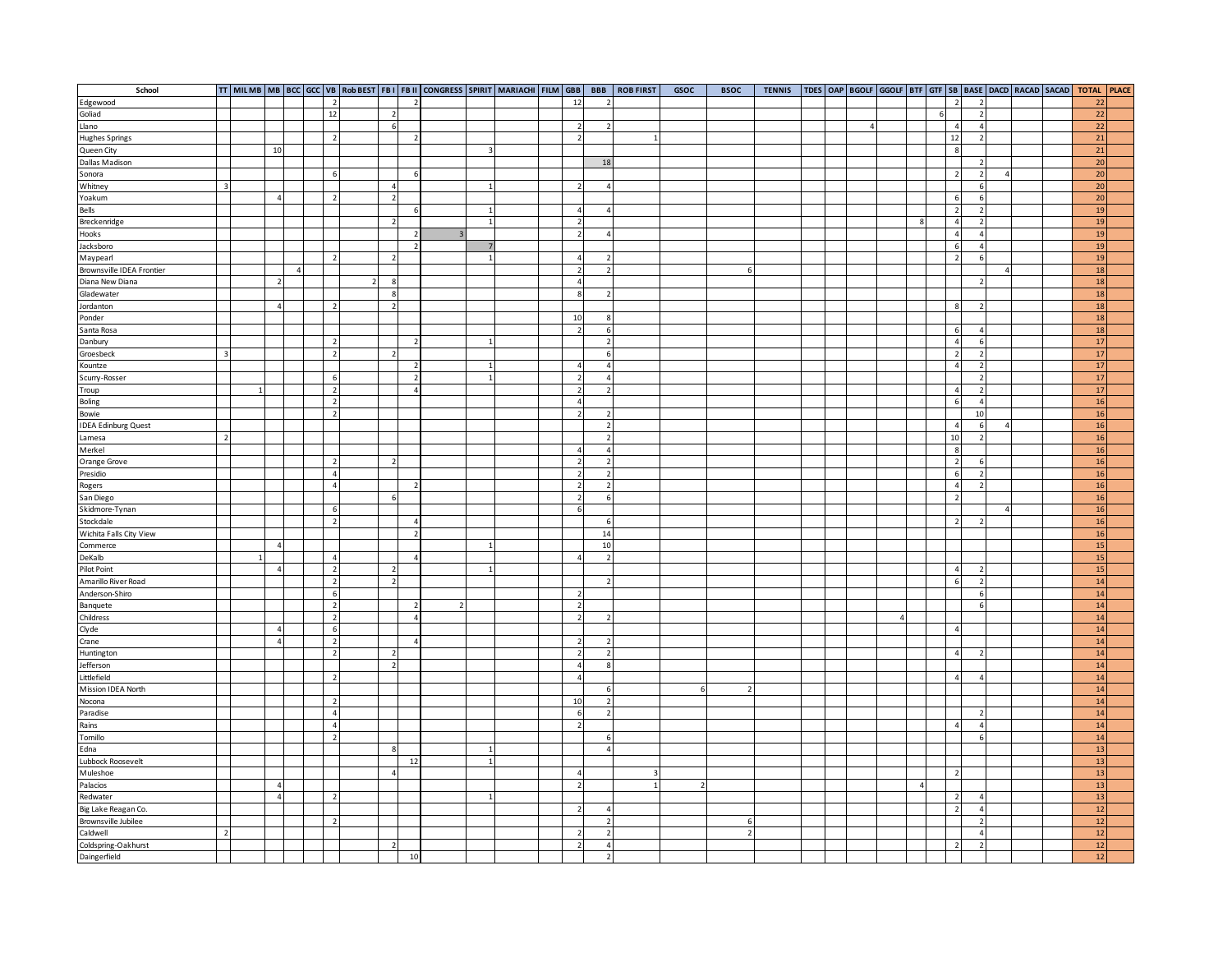| School                                                 |                         |                |            |                |                                  |                                                      |                | TT MILMB MB BCC GCC VB Rob BEST FBI FBII CONGRESS SPIRIT MARIACHI FILM GBB |              |  |                          | <b>BBB</b>          | <b>ROB FIRST</b> | GSOC | <b>BSOC</b>              | <b>TENNIS</b> |  |           |          |                |   |                  |                          |                |  | TDES OAP BGOLF GGOLF BTF GTF SB BASE DACD RACAD SACAD TOTAL PLACE |
|--------------------------------------------------------|-------------------------|----------------|------------|----------------|----------------------------------|------------------------------------------------------|----------------|----------------------------------------------------------------------------|--------------|--|--------------------------|---------------------|------------------|------|--------------------------|---------------|--|-----------|----------|----------------|---|------------------|--------------------------|----------------|--|-------------------------------------------------------------------|
|                                                        |                         |                |            | $\overline{z}$ |                                  |                                                      |                |                                                                            |              |  | 12                       |                     |                  |      |                          |               |  |           |          |                |   | $\overline{2}$   |                          |                |  | $22\,$                                                            |
| Edgewood<br>Goliad                                     |                         |                |            | 12             |                                  | $\overline{2}$                                       |                |                                                                            |              |  |                          |                     |                  |      |                          |               |  |           |          |                | 6 |                  |                          |                |  | 22                                                                |
| Llano                                                  |                         |                |            |                |                                  | - 6                                                  |                |                                                                            |              |  | $\overline{2}$           | 2                   |                  |      |                          |               |  | $\Lambda$ |          |                |   | $\sqrt{4}$       | $\Lambda$                |                |  | 22                                                                |
| <b>Hughes Springs</b>                                  |                         |                |            |                | $\overline{2}$                   |                                                      | $\overline{z}$ |                                                                            |              |  | $\overline{2}$           |                     |                  |      |                          |               |  |           |          |                |   | 12               |                          |                |  | 21                                                                |
|                                                        |                         | 10             |            |                |                                  |                                                      |                |                                                                            | $\mathbf{3}$ |  |                          |                     |                  |      |                          |               |  |           |          |                |   | 8                |                          |                |  | 21                                                                |
| Queen City<br>Dallas Madison                           |                         |                |            |                |                                  |                                                      |                |                                                                            |              |  |                          | 18                  |                  |      |                          |               |  |           |          |                |   |                  | $\overline{\phantom{a}}$ |                |  | 20                                                                |
| Sonora                                                 |                         |                |            |                | 6                                |                                                      | 6              |                                                                            |              |  |                          |                     |                  |      |                          |               |  |           |          |                |   | $\overline{2}$   | $\overline{z}$           | $\overline{4}$ |  | 20 <sup>1</sup>                                                   |
| Whitney                                                | $\overline{\mathbf{3}}$ |                |            |                |                                  | $\overline{4}$                                       |                |                                                                            |              |  | $\overline{\phantom{0}}$ | $\overline{a}$      |                  |      |                          |               |  |           |          |                |   |                  |                          |                |  | 20                                                                |
| Yoakum                                                 |                         | $\overline{a}$ |            |                | $\overline{2}$                   | $\overline{\phantom{a}}$                             |                |                                                                            |              |  |                          |                     |                  |      |                          |               |  |           |          |                |   | $\,$ 6           | 6                        |                |  | 20                                                                |
| Bells                                                  |                         |                |            |                |                                  |                                                      | $\mathbf{r}$   |                                                                            |              |  | $\overline{a}$           | $\overline{4}$      |                  |      |                          |               |  |           |          |                |   | $\overline{2}$   |                          |                |  | 19                                                                |
| Breckenridge                                           |                         |                |            |                |                                  | $\overline{ }$                                       |                |                                                                            |              |  | $\overline{2}$           |                     |                  |      |                          |               |  |           |          | ø              |   | $\overline{4}$   |                          |                |  | 19                                                                |
| Hooks                                                  |                         |                |            |                |                                  |                                                      | $\overline{z}$ | $\overline{\mathbf{z}}$                                                    |              |  | $\overline{2}$           | $\overline{4}$      |                  |      |                          |               |  |           |          |                |   | $\overline{4}$   |                          |                |  | 19                                                                |
| Jacksboro                                              |                         |                |            |                |                                  |                                                      | $\overline{2}$ |                                                                            |              |  |                          |                     |                  |      |                          |               |  |           |          |                |   | 6                |                          |                |  | 19                                                                |
| Maypearl                                               |                         |                |            |                | $\overline{2}$                   | $\overline{2}$                                       |                |                                                                            |              |  | 4 <sup>1</sup>           | $\overline{2}$      |                  |      |                          |               |  |           |          |                |   | $\overline{2}$   |                          |                |  | 19                                                                |
| Brownsville IDEA Frontier                              |                         |                | $\sqrt{4}$ |                |                                  |                                                      |                |                                                                            |              |  | $\overline{2}$           | $\overline{2}$      |                  |      | 6                        |               |  |           |          |                |   |                  |                          |                |  | 18                                                                |
| Diana New Diana                                        |                         | $\overline{2}$ |            |                |                                  | $\mathbf{R}$                                         |                |                                                                            |              |  | $\overline{4}$           |                     |                  |      |                          |               |  |           |          |                |   |                  |                          |                |  | 18                                                                |
| Gladewater                                             |                         |                |            |                |                                  | 8                                                    |                |                                                                            |              |  | $\lvert$ 8               | $\overline{z}$      |                  |      |                          |               |  |           |          |                |   |                  |                          |                |  | 18                                                                |
| Jordanton                                              |                         | 4              |            |                |                                  | $\overline{\phantom{a}}$                             |                |                                                                            |              |  |                          |                     |                  |      |                          |               |  |           |          |                |   | $\mathbf{g}$     |                          |                |  | 18                                                                |
| Ponder                                                 |                         |                |            |                |                                  |                                                      |                |                                                                            |              |  | 10                       | $\mathbf{g}$        |                  |      |                          |               |  |           |          |                |   |                  |                          |                |  | <b>18</b>                                                         |
| Santa Rosa                                             |                         |                |            |                |                                  |                                                      |                |                                                                            |              |  | $\overline{2}$           | $6 \overline{6}$    |                  |      |                          |               |  |           |          |                |   | 6                |                          |                |  | 18                                                                |
| Danbury                                                |                         |                |            |                | $\overline{z}$                   |                                                      |                |                                                                            |              |  |                          | $\overline{2}$      |                  |      |                          |               |  |           |          |                |   | $\overline{4}$   |                          |                |  | 17                                                                |
| Groesbeck                                              | $\overline{\mathbf{3}}$ |                |            |                | $\overline{2}$                   | $\overline{z}$                                       |                |                                                                            |              |  |                          | 6                   |                  |      |                          |               |  |           |          |                |   | $\overline{2}$   |                          |                |  | 17                                                                |
| Kountze                                                |                         |                |            |                |                                  |                                                      |                |                                                                            |              |  | $\overline{4}$           | $\overline{a}$      |                  |      |                          |               |  |           |          |                |   | $\overline{4}$   |                          |                |  | 17                                                                |
| Scurry-Rosser                                          |                         |                |            |                | 6                                |                                                      |                |                                                                            |              |  | $\overline{z}$           | $\overline{4}$      |                  |      |                          |               |  |           |          |                |   |                  |                          |                |  | $17$                                                              |
| Troup                                                  |                         |                |            |                | $\overline{2}$                   |                                                      |                |                                                                            |              |  | $\overline{2}$           | $\overline{2}$      |                  |      |                          |               |  |           |          |                |   | $\sqrt{4}$       |                          |                |  | 17                                                                |
| <b>Boling</b>                                          |                         |                |            |                | $\overline{2}$                   |                                                      |                |                                                                            |              |  | $\overline{4}$           |                     |                  |      |                          |               |  |           |          |                |   | 6                | $\Delta$                 |                |  | 16                                                                |
| Bowie                                                  |                         |                |            |                | $\overline{2}$                   |                                                      |                |                                                                            |              |  | $\overline{2}$           | $\overline{2}$      |                  |      |                          |               |  |           |          |                |   |                  | 10                       |                |  | 16                                                                |
| <b>IDEA Edinburg Quest</b>                             |                         |                |            |                |                                  |                                                      |                |                                                                            |              |  |                          | $\overline{2}$      |                  |      |                          |               |  |           |          |                |   | $\overline{4}$   |                          |                |  | 16                                                                |
| Lamesa                                                 | $\overline{2}$          |                |            |                |                                  |                                                      |                |                                                                            |              |  |                          | $\overline{2}$      |                  |      |                          |               |  |           |          |                |   | $10\,$           |                          |                |  | 16                                                                |
| Merkel                                                 |                         |                |            |                |                                  |                                                      |                |                                                                            |              |  | $\overline{4}$           | $\overline{4}$      |                  |      |                          |               |  |           |          |                |   | $\boldsymbol{8}$ |                          |                |  | 16                                                                |
| Orange Grove                                           |                         |                |            |                | $\overline{2}$                   | $\overline{\phantom{a}}$                             |                |                                                                            |              |  | $\overline{2}$           | $\overline{2}$      |                  |      |                          |               |  |           |          |                |   | $\overline{2}$   |                          |                |  | <b>16</b>                                                         |
| Presidio                                               |                         |                |            |                | $\overline{4}$                   |                                                      |                |                                                                            |              |  | $\overline{\phantom{0}}$ | $\overline{2}$      |                  |      |                          |               |  |           |          |                |   | $\,$ 6           |                          |                |  | 16                                                                |
| Rogers                                                 |                         |                |            |                | $\overline{4}$                   |                                                      |                |                                                                            |              |  | $\overline{2}$           | $\overline{2}$      |                  |      |                          |               |  |           |          |                |   | $\overline{a}$   |                          |                |  | 16                                                                |
| San Diego                                              |                         |                |            |                |                                  |                                                      |                |                                                                            |              |  | $\overline{2}$           | 6                   |                  |      |                          |               |  |           |          |                |   | $\overline{2}$   |                          |                |  | 16                                                                |
| Skidmore-Tynan                                         |                         |                |            |                | 6                                |                                                      |                |                                                                            |              |  | $6\overline{6}$          |                     |                  |      |                          |               |  |           |          |                |   |                  |                          | $\Delta$       |  | 16                                                                |
| Stockdale                                              |                         |                |            |                | $\overline{2}$                   |                                                      | $\overline{4}$ |                                                                            |              |  |                          | 6                   |                  |      |                          |               |  |           |          |                |   | $\overline{2}$   |                          |                |  | 16                                                                |
| Wichita Falls City View                                |                         |                |            |                |                                  |                                                      | $\overline{ }$ |                                                                            |              |  |                          | 14                  |                  |      |                          |               |  |           |          |                |   |                  |                          |                |  | 16                                                                |
| Commerce                                               |                         | $\overline{a}$ |            |                |                                  |                                                      |                |                                                                            |              |  |                          | 10                  |                  |      |                          |               |  |           |          |                |   |                  |                          |                |  | <b>15</b>                                                         |
| DeKalb                                                 |                         |                |            |                | $\overline{4}$                   |                                                      | $\Delta$       |                                                                            |              |  | $\overline{4}$           | $\overline{2}$      |                  |      |                          |               |  |           |          |                |   |                  |                          |                |  | 15                                                                |
| Pilot Point                                            |                         | $\overline{4}$ |            |                | $\overline{2}$                   | $\overline{2}$                                       |                |                                                                            |              |  |                          |                     |                  |      |                          |               |  |           |          |                |   | $\sqrt{4}$       |                          |                |  | 15                                                                |
| Amarillo River Road                                    |                         |                |            |                | $\overline{2}$                   | $\overline{2}$                                       |                |                                                                            |              |  |                          | $\overline{2}$      |                  |      |                          |               |  |           |          |                |   | $6\overline{6}$  |                          |                |  | 14                                                                |
| Anderson-Shiro                                         |                         |                |            |                | $6\overline{6}$                  |                                                      |                |                                                                            |              |  | $\overline{\phantom{a}}$ |                     |                  |      |                          |               |  |           |          |                |   |                  | 6                        |                |  | 14                                                                |
| Banquete                                               |                         |                |            |                | $\overline{2}$                   |                                                      | $\overline{2}$ | $\overline{\phantom{0}}$                                                   |              |  | $\overline{2}$           |                     |                  |      |                          |               |  |           |          |                |   |                  | 6                        |                |  | 14                                                                |
| Childress                                              |                         |                |            |                | $\overline{2}$                   |                                                      | $\overline{A}$ |                                                                            |              |  | $\overline{z}$           | -2                  |                  |      |                          |               |  |           | $\Delta$ |                |   |                  |                          |                |  | 14                                                                |
| Clyde                                                  |                         | $\overline{a}$ |            |                | 6                                |                                                      |                |                                                                            |              |  |                          |                     |                  |      |                          |               |  |           |          |                |   | $\overline{4}$   |                          |                |  | 14                                                                |
| Crane                                                  |                         | $\overline{4}$ |            |                | $\overline{2}$                   |                                                      | $\Lambda$      |                                                                            |              |  | $\overline{2}$           | $\overline{2}$      |                  |      |                          |               |  |           |          |                |   |                  |                          |                |  | 14                                                                |
| Huntington                                             |                         |                |            |                | $\overline{2}$                   | $\overline{\phantom{a}}$<br>$\overline{\phantom{a}}$ |                |                                                                            |              |  | $\overline{2}$           | $\overline{2}$      |                  |      |                          |               |  |           |          |                |   | $\overline{4}$   |                          |                |  | 14<br>14                                                          |
| Jefferson<br>Littlefield                               |                         |                |            |                |                                  |                                                      |                |                                                                            |              |  | $\overline{4}$           | 8 <sup>1</sup>      |                  |      |                          |               |  |           |          |                |   |                  |                          |                |  |                                                                   |
|                                                        |                         |                |            |                | $\overline{2}$                   |                                                      |                |                                                                            |              |  | $\overline{4}$           | 6                   |                  |      | $\overline{\phantom{a}}$ |               |  |           |          |                |   | $\sqrt{4}$       |                          |                |  | 14                                                                |
| Mission IDEA North<br>Nocona                           |                         |                |            |                |                                  |                                                      |                |                                                                            |              |  |                          |                     |                  |      |                          |               |  |           |          |                |   |                  |                          |                |  | 14<br>14                                                          |
|                                                        |                         |                |            |                | $\overline{2}$<br>$\overline{4}$ |                                                      |                |                                                                            |              |  | 10                       | $\overline{2}$      |                  |      |                          |               |  |           |          |                |   |                  |                          |                |  | 14                                                                |
| Paradise<br>Rains                                      |                         |                |            |                | $\overline{4}$                   |                                                      |                |                                                                            |              |  | 6<br>$\overline{2}$      | $\overline{2}$      |                  |      |                          |               |  |           |          |                |   | $\overline{4}$   | 4                        |                |  | 14                                                                |
| Tomillo                                                |                         |                |            |                | $\overline{2}$                   |                                                      |                |                                                                            |              |  |                          |                     |                  |      |                          |               |  |           |          |                |   |                  |                          |                |  | 14                                                                |
| Edna                                                   |                         |                |            |                |                                  |                                                      |                |                                                                            | $\mathbf{1}$ |  |                          | 6<br>$\overline{4}$ |                  |      |                          |               |  |           |          |                |   |                  |                          |                |  | 13                                                                |
| Lubbock Roosevelt                                      |                         |                |            |                |                                  |                                                      | 12             |                                                                            |              |  |                          |                     |                  |      |                          |               |  |           |          |                |   |                  |                          |                |  | 13                                                                |
| Muleshoe                                               |                         |                |            |                |                                  | $\Delta$                                             |                |                                                                            |              |  | $\overline{4}$           |                     |                  |      |                          |               |  |           |          |                |   | $\overline{z}$   |                          |                |  | 13                                                                |
|                                                        |                         | $\overline{a}$ |            |                |                                  |                                                      |                |                                                                            |              |  | $\overline{z}$           |                     |                  |      |                          |               |  |           |          | $\overline{a}$ |   |                  |                          |                |  | 13                                                                |
| Palacios<br>Redwater                                   |                         | $\Delta$       |            |                | $\overline{z}$                   |                                                      |                |                                                                            |              |  |                          |                     |                  |      |                          |               |  |           |          |                |   | $\overline{2}$   |                          |                |  | 13                                                                |
|                                                        |                         |                |            |                |                                  |                                                      |                |                                                                            |              |  | $\overline{2}$           | $\sqrt{4}$          |                  |      |                          |               |  |           |          |                |   | $\overline{2}$   |                          |                |  | 12                                                                |
|                                                        |                         |                |            |                | $\overline{2}$                   |                                                      |                |                                                                            |              |  |                          | $\overline{2}$      |                  |      | 6                        |               |  |           |          |                |   |                  |                          |                |  | $12\,$                                                            |
| Big Lake Reagan Co.<br>Brownsville Jubilee<br>Caldwell | $\overline{z}$          |                |            |                |                                  |                                                      |                |                                                                            |              |  | $\overline{2}$           | $\overline{2}$      |                  |      | $\overline{2}$           |               |  |           |          |                |   |                  |                          |                |  | $12\,$                                                            |
| Coldspring-Oakhurst                                    |                         |                |            |                |                                  | $\overline{2}$                                       |                |                                                                            |              |  | $\overline{2}$           | $\overline{4}$      |                  |      |                          |               |  |           |          |                |   | $\overline{z}$   |                          |                |  | 12                                                                |
| Daingerfield                                           |                         |                |            |                |                                  |                                                      | 10             |                                                                            |              |  |                          | $\overline{2}$      |                  |      |                          |               |  |           |          |                |   |                  |                          |                |  | 12                                                                |
|                                                        |                         |                |            |                |                                  |                                                      |                |                                                                            |              |  |                          |                     |                  |      |                          |               |  |           |          |                |   |                  |                          |                |  |                                                                   |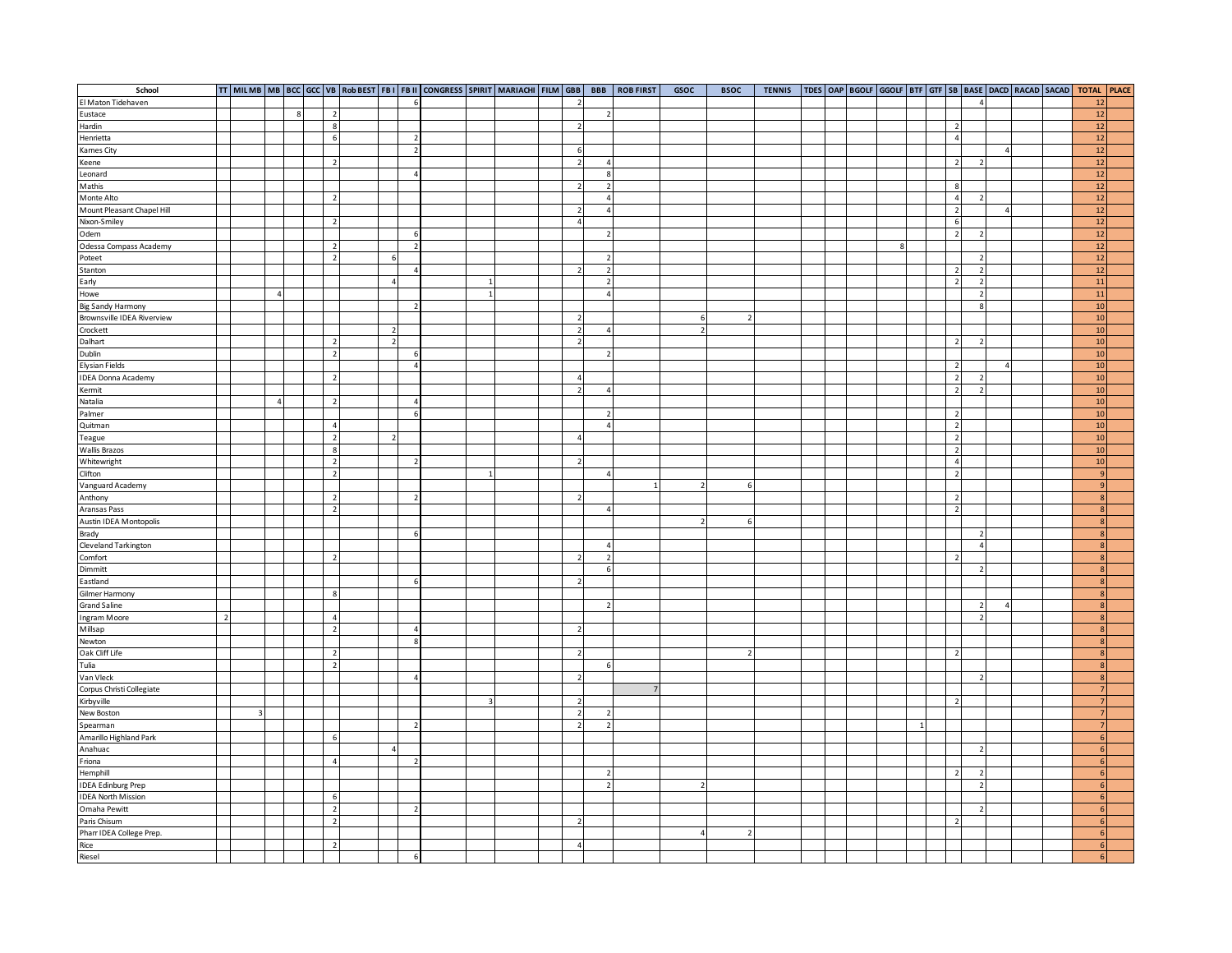| School                                                |                |                         |   |  |                                  |                          |                | TT MILMB MB BCC GCC VB Rob BEST FBI FBII CONGRESS SPIRIT MARIACHI FILM GBB |                |  |                          | <b>BBB</b>       | <b>ROB FIRST</b> | GSOC           | <b>BSOC</b>              | <b>TENNIS</b> |  |   |                |                |               |                         |  | TDES OAP BGOLF GGOLF BTF GTF SB BASE DACD RACAD SACAD TOTAL PLACE |  |
|-------------------------------------------------------|----------------|-------------------------|---|--|----------------------------------|--------------------------|----------------|----------------------------------------------------------------------------|----------------|--|--------------------------|------------------|------------------|----------------|--------------------------|---------------|--|---|----------------|----------------|---------------|-------------------------|--|-------------------------------------------------------------------|--|
| El Maton Tidehaven                                    |                |                         |   |  |                                  |                          |                |                                                                            |                |  | $\overline{z}$           |                  |                  |                |                          |               |  |   |                |                |               |                         |  | $12\,$                                                            |  |
| Eustace                                               |                |                         | 8 |  | $\overline{2}$                   |                          |                |                                                                            |                |  |                          | $\overline{2}$   |                  |                |                          |               |  |   |                |                |               |                         |  | 12                                                                |  |
| Hardin                                                |                |                         |   |  | 8                                |                          |                |                                                                            |                |  | $\overline{2}$           |                  |                  |                |                          |               |  |   |                | $\overline{2}$ |               |                         |  | 12                                                                |  |
| Henrietta                                             |                |                         |   |  | 6                                |                          |                |                                                                            |                |  |                          |                  |                  |                |                          |               |  |   |                | $\overline{4}$ |               |                         |  | 12                                                                |  |
|                                                       |                |                         |   |  |                                  |                          |                |                                                                            |                |  | 6                        |                  |                  |                |                          |               |  |   |                |                |               | $\overline{4}$          |  | 12                                                                |  |
| Kames City<br>Keene                                   |                |                         |   |  | $\overline{2}$                   |                          |                |                                                                            |                |  | $\overline{2}$           | $\overline{4}$   |                  |                |                          |               |  |   |                | $\overline{2}$ |               |                         |  | 12                                                                |  |
| Leonard                                               |                |                         |   |  |                                  |                          | $\overline{4}$ |                                                                            |                |  |                          | $\boldsymbol{8}$ |                  |                |                          |               |  |   |                |                |               |                         |  | 12                                                                |  |
| Mathis                                                |                |                         |   |  |                                  |                          |                |                                                                            |                |  | $\overline{z}$           | $\overline{2}$   |                  |                |                          |               |  |   |                | 8              |               |                         |  | 12                                                                |  |
| Monte Alto                                            |                |                         |   |  | $\overline{2}$                   |                          |                |                                                                            |                |  |                          | $\sqrt{4}$       |                  |                |                          |               |  |   |                | $\sqrt{4}$     |               |                         |  | 12                                                                |  |
| Mount Pleasant Chapel Hill                            |                |                         |   |  |                                  |                          |                |                                                                            |                |  | $\overline{2}$           | $\overline{4}$   |                  |                |                          |               |  |   |                | $\overline{2}$ |               | $\overline{\mathbf{r}}$ |  | 12                                                                |  |
| Nixon-Smiley                                          |                |                         |   |  | $\overline{z}$                   |                          |                |                                                                            |                |  | $\overline{a}$           |                  |                  |                |                          |               |  |   |                | $\,6\,$        |               |                         |  | 12                                                                |  |
|                                                       |                |                         |   |  |                                  |                          |                |                                                                            |                |  |                          | $\overline{2}$   |                  |                |                          |               |  |   |                | $\overline{2}$ |               |                         |  | 12                                                                |  |
| Odem                                                  |                |                         |   |  |                                  |                          | $\overline{2}$ |                                                                            |                |  |                          |                  |                  |                |                          |               |  | 8 |                |                |               |                         |  | 12                                                                |  |
| Odessa Compass Academy                                |                |                         |   |  | $\overline{2}$<br>$\overline{z}$ | -6                       |                |                                                                            |                |  |                          | $\overline{2}$   |                  |                |                          |               |  |   |                |                |               |                         |  | 12                                                                |  |
| Poteet<br>Stanton                                     |                |                         |   |  |                                  |                          | $\overline{A}$ |                                                                            |                |  | $\overline{z}$           |                  |                  |                |                          |               |  |   |                |                |               |                         |  | 12                                                                |  |
|                                                       |                |                         |   |  |                                  |                          |                |                                                                            |                |  |                          | $\overline{2}$   |                  |                |                          |               |  |   |                | $\overline{2}$ |               |                         |  |                                                                   |  |
| Early                                                 |                |                         |   |  |                                  | $\overline{4}$           |                |                                                                            |                |  |                          | $\overline{2}$   |                  |                |                          |               |  |   |                | $\overline{2}$ |               |                         |  | <b>11</b>                                                         |  |
| Howe                                                  |                | $\overline{4}$          |   |  |                                  |                          |                |                                                                            |                |  |                          | $\overline{4}$   |                  |                |                          |               |  |   |                |                |               |                         |  | 11                                                                |  |
| Big Sandy Harmony<br>Brownsville IDEA Riverview       |                |                         |   |  |                                  |                          |                |                                                                            |                |  |                          |                  |                  |                |                          |               |  |   |                |                |               |                         |  | 10                                                                |  |
|                                                       |                |                         |   |  |                                  |                          |                |                                                                            |                |  | $\overline{2}$           |                  |                  | 6              |                          |               |  |   |                |                |               |                         |  | 10                                                                |  |
| Crockett                                              |                |                         |   |  |                                  | $\overline{2}$           |                |                                                                            |                |  | $\overline{2}$           | $\overline{4}$   |                  | $\overline{z}$ |                          |               |  |   |                |                |               |                         |  | 10 <sup>1</sup>                                                   |  |
| Dalhart                                               |                |                         |   |  | $\overline{2}$                   | $\overline{\phantom{a}}$ |                |                                                                            |                |  | $\overline{2}$           |                  |                  |                |                          |               |  |   |                | $\overline{2}$ |               |                         |  | 10                                                                |  |
| Dublin                                                |                |                         |   |  | $\overline{2}$                   |                          | 6              |                                                                            |                |  |                          | $\overline{2}$   |                  |                |                          |               |  |   |                |                |               |                         |  | 10                                                                |  |
| <b>Elysian Fields</b>                                 |                |                         |   |  |                                  |                          | $\overline{4}$ |                                                                            |                |  |                          |                  |                  |                |                          |               |  |   |                | $\overline{2}$ |               | $\overline{\mathbf{r}}$ |  | 10 <sup>1</sup>                                                   |  |
| <b>IDEA Donna Academy</b>                             |                |                         |   |  | $\overline{z}$                   |                          |                |                                                                            |                |  | $\Delta$                 |                  |                  |                |                          |               |  |   |                | $\overline{2}$ |               |                         |  | 10                                                                |  |
| Kermit                                                |                |                         |   |  |                                  |                          |                |                                                                            |                |  | $\overline{z}$           | $\overline{4}$   |                  |                |                          |               |  |   |                | $\overline{2}$ |               |                         |  | 10                                                                |  |
| Natalia                                               |                | $\overline{\mathbf{A}}$ |   |  | $\overline{2}$                   |                          | $\overline{4}$ |                                                                            |                |  |                          |                  |                  |                |                          |               |  |   |                |                |               |                         |  | 10                                                                |  |
| Palmer                                                |                |                         |   |  |                                  |                          | $\overline{6}$ |                                                                            |                |  |                          | $\overline{2}$   |                  |                |                          |               |  |   |                | $\overline{2}$ |               |                         |  | 10                                                                |  |
| Quitman                                               |                |                         |   |  | $\overline{4}$                   |                          |                |                                                                            |                |  |                          | $\overline{a}$   |                  |                |                          |               |  |   |                | $\overline{2}$ |               |                         |  | 10                                                                |  |
| Teague                                                |                |                         |   |  | $\overline{2}$                   | $\overline{z}$           |                |                                                                            |                |  | $\overline{a}$           |                  |                  |                |                          |               |  |   |                | $\overline{2}$ |               |                         |  | 10                                                                |  |
| <b>Wallis Brazos</b>                                  |                |                         |   |  | $\boldsymbol{8}$                 |                          |                |                                                                            |                |  |                          |                  |                  |                |                          |               |  |   |                | $\overline{2}$ |               |                         |  | 10 <sup>1</sup>                                                   |  |
| Whitewright<br>Clifton                                |                |                         |   |  | $\overline{2}$                   |                          |                |                                                                            |                |  | $\overline{2}$           |                  |                  |                |                          |               |  |   |                | $\overline{4}$ |               |                         |  | $10$                                                              |  |
|                                                       |                |                         |   |  | $\overline{2}$                   |                          |                |                                                                            |                |  |                          | $\overline{4}$   |                  |                |                          |               |  |   |                | $\overline{2}$ |               |                         |  | $\overline{9}$                                                    |  |
| Vanguard Academy                                      |                |                         |   |  |                                  |                          |                |                                                                            |                |  |                          |                  |                  |                | 6                        |               |  |   |                |                |               |                         |  | 9                                                                 |  |
| Anthony                                               |                |                         |   |  | $\overline{2}$                   |                          |                |                                                                            |                |  | $\overline{z}$           |                  |                  |                |                          |               |  |   |                | $\overline{2}$ |               |                         |  | $\overline{8}$                                                    |  |
| Aransas Pass                                          |                |                         |   |  | $\overline{2}$                   |                          |                |                                                                            |                |  |                          | $\overline{4}$   |                  |                |                          |               |  |   |                | $\overline{2}$ |               |                         |  | 8                                                                 |  |
| Austin IDEA Montopolis                                |                |                         |   |  |                                  |                          |                |                                                                            |                |  |                          |                  |                  |                | 6                        |               |  |   |                |                |               |                         |  | 8 <sup>1</sup>                                                    |  |
|                                                       |                |                         |   |  |                                  |                          |                |                                                                            |                |  |                          |                  |                  |                |                          |               |  |   |                |                |               |                         |  | $\mathbf{R}$                                                      |  |
| Brady<br>Cleveland Tarkington<br>Comfort              |                |                         |   |  |                                  |                          |                |                                                                            |                |  |                          | $\overline{4}$   |                  |                |                          |               |  |   |                |                |               |                         |  | $\overline{8}$                                                    |  |
|                                                       |                |                         |   |  | $\overline{2}$                   |                          |                |                                                                            |                |  | $\overline{2}$           | $\overline{2}$   |                  |                |                          |               |  |   |                | $\overline{2}$ |               |                         |  | 8                                                                 |  |
| Dimmitt                                               |                |                         |   |  |                                  |                          |                |                                                                            |                |  |                          | 6                |                  |                |                          |               |  |   |                |                |               |                         |  | 8 <sup>1</sup>                                                    |  |
| Eastland                                              |                |                         |   |  |                                  |                          | 6              |                                                                            |                |  | $\overline{2}$           |                  |                  |                |                          |               |  |   |                |                |               |                         |  | $\mathbf{g}$                                                      |  |
| Gilmer Harmony                                        |                |                         |   |  | $\mathbf{8}$                     |                          |                |                                                                            |                |  |                          |                  |                  |                |                          |               |  |   |                |                |               |                         |  | 8                                                                 |  |
|                                                       |                |                         |   |  |                                  |                          |                |                                                                            |                |  |                          | $\overline{z}$   |                  |                |                          |               |  |   |                |                |               | $\overline{4}$          |  | $\overline{8}$                                                    |  |
| <b>Grand Saline</b>                                   |                |                         |   |  | $\Lambda$                        |                          |                |                                                                            |                |  |                          |                  |                  |                |                          |               |  |   |                |                | $\mathcal{D}$ |                         |  |                                                                   |  |
| Ingram Moore                                          | $\overline{2}$ |                         |   |  |                                  |                          |                |                                                                            |                |  |                          |                  |                  |                |                          |               |  |   |                |                |               |                         |  | $\mathbf{8}$                                                      |  |
| Millsap                                               |                |                         |   |  | $\overline{2}$                   |                          | $\Delta$       |                                                                            |                |  | $\overline{2}$           |                  |                  |                |                          |               |  |   |                |                |               |                         |  | 8                                                                 |  |
| Newton                                                |                |                         |   |  |                                  |                          | 8              |                                                                            |                |  |                          |                  |                  |                |                          |               |  |   |                |                |               |                         |  | 8 <sup>1</sup>                                                    |  |
| Oak Cliff Life                                        |                |                         |   |  | $\overline{2}$                   |                          |                |                                                                            |                |  | $\overline{2}$           |                  |                  |                | $\overline{\phantom{a}}$ |               |  |   |                | $\overline{2}$ |               |                         |  | $\overline{8}$                                                    |  |
| Tulia                                                 |                |                         |   |  | $\overline{2}$                   |                          |                |                                                                            |                |  |                          | 6                |                  |                |                          |               |  |   |                |                |               |                         |  | $\overline{8}$                                                    |  |
| Van Vleck                                             |                |                         |   |  |                                  |                          | $\Delta$       |                                                                            |                |  | $\overline{2}$           |                  |                  |                |                          |               |  |   |                |                |               |                         |  | 8                                                                 |  |
|                                                       |                |                         |   |  |                                  |                          |                |                                                                            |                |  |                          |                  |                  |                |                          |               |  |   |                |                |               |                         |  | $\overline{7}$                                                    |  |
| Corpus Christi Collegiate<br>Kirbyville<br>New Boston |                |                         |   |  |                                  |                          |                |                                                                            | $\overline{3}$ |  | $\overline{z}$           |                  |                  |                |                          |               |  |   |                | $\overline{2}$ |               |                         |  |                                                                   |  |
|                                                       |                |                         |   |  |                                  |                          |                |                                                                            |                |  | $\overline{2}$           | $\overline{2}$   |                  |                |                          |               |  |   |                |                |               |                         |  | $\overline{7}$                                                    |  |
| Spearman                                              |                |                         |   |  |                                  |                          | $\overline{2}$ |                                                                            |                |  | $\overline{2}$           | $\overline{z}$   |                  |                |                          |               |  |   | $\overline{1}$ |                |               |                         |  | 7                                                                 |  |
| Amarillo Highland Park                                |                |                         |   |  | 6                                |                          |                |                                                                            |                |  |                          |                  |                  |                |                          |               |  |   |                |                |               |                         |  | $6 \overline{6}$                                                  |  |
| Anahuac                                               |                |                         |   |  |                                  | $\overline{4}$           |                |                                                                            |                |  |                          |                  |                  |                |                          |               |  |   |                |                |               |                         |  | $6 \overline{6}$                                                  |  |
| Friona                                                |                |                         |   |  | $\overline{4}$                   |                          | $\overline{2}$ |                                                                            |                |  |                          |                  |                  |                |                          |               |  |   |                |                |               |                         |  | 6 <sup>1</sup>                                                    |  |
| Hemphill<br>IDEA Edinburg Prep                        |                |                         |   |  |                                  |                          |                |                                                                            |                |  |                          | $\overline{2}$   |                  |                |                          |               |  |   |                | $\overline{2}$ |               |                         |  | $6\overline{6}$                                                   |  |
|                                                       |                |                         |   |  |                                  |                          |                |                                                                            |                |  |                          | $\overline{2}$   |                  |                |                          |               |  |   |                |                |               |                         |  | $6\overline{6}$                                                   |  |
| <b>IDEA North Mission</b>                             |                |                         |   |  | 6                                |                          |                |                                                                            |                |  |                          |                  |                  |                |                          |               |  |   |                |                |               |                         |  | 6 <sup>1</sup>                                                    |  |
| Omaha Pewitt                                          |                |                         |   |  | $\overline{2}$                   |                          |                |                                                                            |                |  |                          |                  |                  |                |                          |               |  |   |                |                |               |                         |  | $6 \overline{6}$                                                  |  |
| Paris Chisum                                          |                |                         |   |  | $\overline{2}$                   |                          |                |                                                                            |                |  | $\overline{\phantom{0}}$ |                  |                  |                |                          |               |  |   |                | $\overline{2}$ |               |                         |  | $6 \overline{6}$                                                  |  |
| Pharr IDEA College Prep.                              |                |                         |   |  |                                  |                          |                |                                                                            |                |  |                          |                  |                  | $\lambda$      | $\overline{z}$           |               |  |   |                |                |               |                         |  | 6 <sup>1</sup>                                                    |  |
|                                                       |                |                         |   |  | $\overline{z}$                   |                          |                |                                                                            |                |  | $\Delta$                 |                  |                  |                |                          |               |  |   |                |                |               |                         |  | 6 <sup>1</sup>                                                    |  |
| Rice<br>Rice<br>Riesel                                |                |                         |   |  |                                  |                          | 6              |                                                                            |                |  |                          |                  |                  |                |                          |               |  |   |                |                |               |                         |  | 6 <sup>1</sup>                                                    |  |